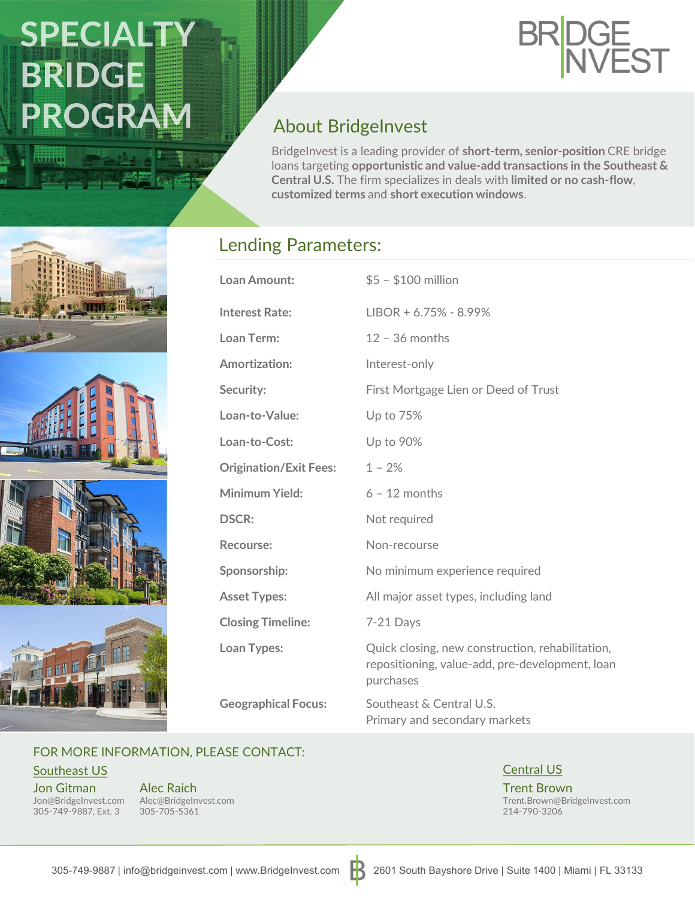# SPECIALTY **BRIDGE PROGRAM**

miiiji



### About BridgeInvest

BridgeInvest is a leading provider of **short-term, senior-position** CRE bridge loans targeting **opportunistic and value-add transactions in the Southeast & Central U.S.** The firm specializes in deals with **limited or no cash-flow**, **customized terms** and **short execution windows**.

#### Lending Parameters:

| Loan Amount:                  | $$5 - $100$ million                                                                                              |
|-------------------------------|------------------------------------------------------------------------------------------------------------------|
| <b>Interest Rate:</b>         | $LIBOR + 6.75% - 8.99%$                                                                                          |
| Loan Term:                    | $12 - 36$ months                                                                                                 |
| <b>Amortization:</b>          | Interest-only                                                                                                    |
| Security:                     | First Mortgage Lien or Deed of Trust                                                                             |
| Loan-to-Value:                | Up to 75%                                                                                                        |
| Loan-to-Cost:                 | Up to 90%                                                                                                        |
| <b>Origination/Exit Fees:</b> | $1 - 2%$                                                                                                         |
| Minimum Yield:                | $6 - 12$ months                                                                                                  |
| <b>DSCR:</b>                  | Not required                                                                                                     |
| Recourse:                     | Non-recourse                                                                                                     |
| Sponsorship:                  | No minimum experience required                                                                                   |
| <b>Asset Types:</b>           | All major asset types, including land                                                                            |
| <b>Closing Timeline:</b>      | 7-21 Days                                                                                                        |
| Loan Types:                   | Quick closing, new construction, rehabilitation,<br>repositioning, value-add, pre-development, loan<br>purchases |
| <b>Geographical Focus:</b>    | Southeast & Central U.S.<br>Primary and secondary markets                                                        |

#### FOR MORE INFORMATION, PLEASE CONTACT:

Southeast US Central US Contral US Central US Central US Central US Central US

Jon Gitman 305-749-9887, Ext. 3

Jon@BridgeInvest.com Alec@BridgeInvest.com Alec Raich 305-705-5361

Trent Brown Trent.Brown@BridgeInvest.com 214-790-3206